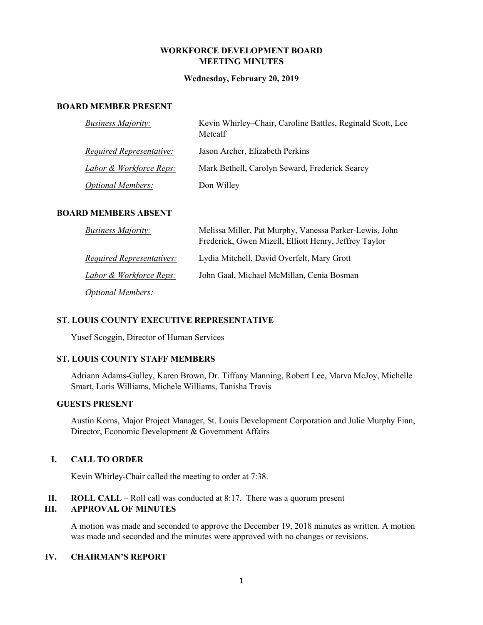## **WORKFORCE DEVELOPMENT BOARD MEETING MINUTES**

#### **Wednesday, February 20, 2019**

#### **BOARD MEMBER PRESENT**

| <b>Business Majority:</b>          | Kevin Whirley–Chair, Caroline Battles, Reginald Scott, Lee<br>Metcalf |
|------------------------------------|-----------------------------------------------------------------------|
| <u>Required Representative:</u>    | Jason Archer, Elizabeth Perkins                                       |
| <u>Labor &amp; Workforce Reps:</u> | Mark Bethell, Carolyn Seward, Frederick Searcy                        |
| <b>Optional Members:</b>           | Don Willey                                                            |

#### **BOARD MEMBERS ABSENT**

| <b>Business Majority:</b>          | Melissa Miller, Pat Murphy, Vanessa Parker-Lewis, John<br>Frederick, Gwen Mizell, Elliott Henry, Jeffrey Taylor |
|------------------------------------|-----------------------------------------------------------------------------------------------------------------|
| <i>Required Representatives:</i>   | Lydia Mitchell, David Overfelt, Mary Grott                                                                      |
| <u>Labor &amp; Workforce Reps:</u> | John Gaal, Michael McMillan, Cenia Bosman                                                                       |
| <i>Optional Members:</i>           |                                                                                                                 |

#### **ST. LOUIS COUNTY EXECUTIVE REPRESENTATIVE**

Yusef Scoggin, Director of Human Services

### **ST. LOUIS COUNTY STAFF MEMBERS**

Adriann Adams-Gulley, Karen Brown, Dr. Tiffany Manning, Robert Lee, Marva McJoy, Michelle Smart, Loris Williams, Michele Williams, Tanisha Travis

## **GUESTS PRESENT**

Austin Korns, Major Project Manager, St. Louis Development Corporation and Julie Murphy Finn, Director, Economic Development & Government Affairs

#### **I. CALL TO ORDER**

Kevin Whirley-Chair called the meeting to order at 7:38.

**II. ROLL CALL** – Roll call was conducted at 8:17. There was a quorum present

## **III. APPROVAL OF MINUTES**

A motion was made and seconded to approve the December 19, 2018 minutes as written. A motion was made and seconded and the minutes were approved with no changes or revisions.

### **IV. CHAIRMAN'S REPORT**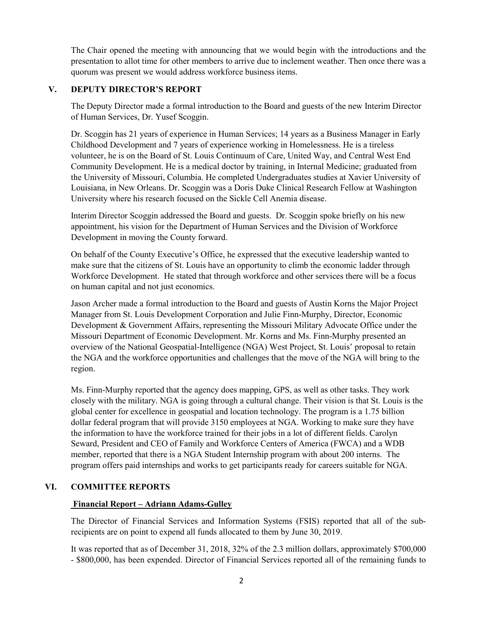The Chair opened the meeting with announcing that we would begin with the introductions and the presentation to allot time for other members to arrive due to inclement weather. Then once there was a quorum was present we would address workforce business items.

## **V. DEPUTY DIRECTOR'S REPORT**

The Deputy Director made a formal introduction to the Board and guests of the new Interim Director of Human Services, Dr. Yusef Scoggin.

Dr. Scoggin has 21 years of experience in Human Services; 14 years as a Business Manager in Early Childhood Development and 7 years of experience working in Homelessness. He is a tireless volunteer, he is on the Board of St. Louis Continuum of Care, United Way, and Central West End Community Development. He is a medical doctor by training, in Internal Medicine; graduated from the University of Missouri, Columbia. He completed Undergraduates studies at Xavier University of Louisiana, in New Orleans. Dr. Scoggin was a Doris Duke Clinical Research Fellow at Washington University where his research focused on the Sickle Cell Anemia disease.

Interim Director Scoggin addressed the Board and guests. Dr. Scoggin spoke briefly on his new appointment, his vision for the Department of Human Services and the Division of Workforce Development in moving the County forward.

On behalf of the County Executive's Office, he expressed that the executive leadership wanted to make sure that the citizens of St. Louis have an opportunity to climb the economic ladder through Workforce Development. He stated that through workforce and other services there will be a focus on human capital and not just economics.

Jason Archer made a formal introduction to the Board and guests of Austin Korns the Major Project Manager from St. Louis Development Corporation and Julie Finn-Murphy, Director, Economic Development & Government Affairs, representing the Missouri Military Advocate Office under the Missouri Department of Economic Development. Mr. Korns and Ms. Finn-Murphy presented an overview of the National Geospatial-Intelligence (NGA) West Project, St. Louis' proposal to retain the NGA and the workforce opportunities and challenges that the move of the NGA will bring to the region.

Ms. Finn-Murphy reported that the agency does mapping, GPS, as well as other tasks. They work closely with the military. NGA is going through a cultural change. Their vision is that St. Louis is the global center for excellence in geospatial and location technology. The program is a 1.75 billion dollar federal program that will provide 3150 employees at NGA. Working to make sure they have the information to have the workforce trained for their jobs in a lot of different fields. Carolyn Seward, President and CEO of Family and Workforce Centers of America (FWCA) and a WDB member, reported that there is a NGA Student Internship program with about 200 interns. The program offers paid internships and works to get participants ready for careers suitable for NGA.

# **VI. COMMITTEE REPORTS**

### **Financial Report – Adriann Adams-Gulley**

The Director of Financial Services and Information Systems (FSIS) reported that all of the subrecipients are on point to expend all funds allocated to them by June 30, 2019.

It was reported that as of December 31, 2018, 32% of the 2.3 million dollars, approximately \$700,000 - \$800,000, has been expended. Director of Financial Services reported all of the remaining funds to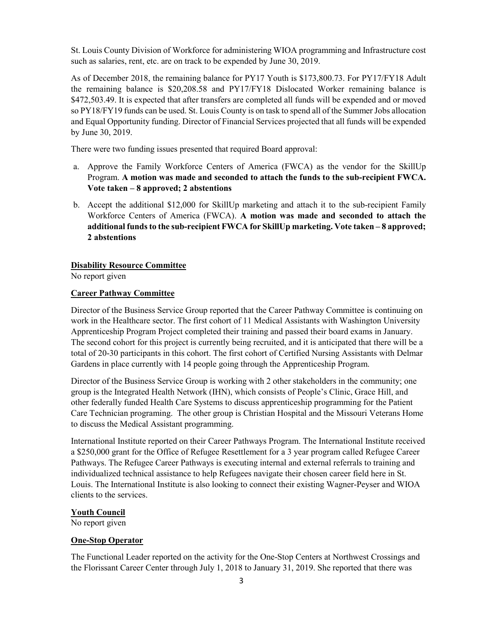St. Louis County Division of Workforce for administering WIOA programming and Infrastructure cost such as salaries, rent, etc. are on track to be expended by June 30, 2019.

As of December 2018, the remaining balance for PY17 Youth is \$173,800.73. For PY17/FY18 Adult the remaining balance is \$20,208.58 and PY17/FY18 Dislocated Worker remaining balance is \$472,503.49. It is expected that after transfers are completed all funds will be expended and or moved so PY18/FY19 funds can be used. St. Louis County is on task to spend all of the Summer Jobs allocation and Equal Opportunity funding. Director of Financial Services projected that all funds will be expended by June 30, 2019.

There were two funding issues presented that required Board approval:

- a. Approve the Family Workforce Centers of America (FWCA) as the vendor for the SkillUp Program. **A motion was made and seconded to attach the funds to the sub-recipient FWCA. Vote taken – 8 approved; 2 abstentions**
- b. Accept the additional \$12,000 for SkillUp marketing and attach it to the sub-recipient Family Workforce Centers of America (FWCA). **A motion was made and seconded to attach the additional funds to the sub-recipient FWCA for SkillUp marketing. Vote taken – 8 approved; 2 abstentions**

## **Disability Resource Committee**

No report given

## **Career Pathway Committee**

Director of the Business Service Group reported that the Career Pathway Committee is continuing on work in the Healthcare sector. The first cohort of 11 Medical Assistants with Washington University Apprenticeship Program Project completed their training and passed their board exams in January. The second cohort for this project is currently being recruited, and it is anticipated that there will be a total of 20-30 participants in this cohort. The first cohort of Certified Nursing Assistants with Delmar Gardens in place currently with 14 people going through the Apprenticeship Program.

Director of the Business Service Group is working with 2 other stakeholders in the community; one group is the Integrated Health Network (IHN), which consists of People's Clinic, Grace Hill, and other federally funded Health Care Systems to discuss apprenticeship programming for the Patient Care Technician programing. The other group is Christian Hospital and the Missouri Veterans Home to discuss the Medical Assistant programming.

International Institute reported on their Career Pathways Program. The International Institute received a \$250,000 grant for the Office of Refugee Resettlement for a 3 year program called Refugee Career Pathways. The Refugee Career Pathways is executing internal and external referrals to training and individualized technical assistance to help Refugees navigate their chosen career field here in St. Louis. The International Institute is also looking to connect their existing Wagner-Peyser and WIOA clients to the services.

### **Youth Council**

No report given

# **One-Stop Operator**

The Functional Leader reported on the activity for the One-Stop Centers at Northwest Crossings and the Florissant Career Center through July 1, 2018 to January 31, 2019. She reported that there was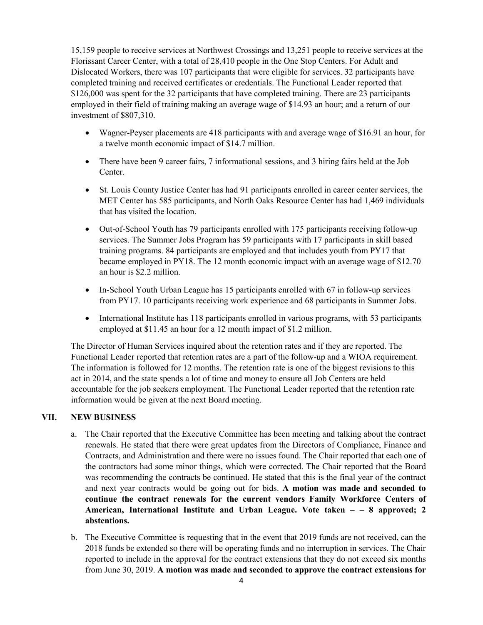15,159 people to receive services at Northwest Crossings and 13,251 people to receive services at the Florissant Career Center, with a total of 28,410 people in the One Stop Centers. For Adult and Dislocated Workers, there was 107 participants that were eligible for services. 32 participants have completed training and received certificates or credentials. The Functional Leader reported that \$126,000 was spent for the 32 participants that have completed training. There are 23 participants employed in their field of training making an average wage of \$14.93 an hour; and a return of our investment of \$807,310.

- Wagner-Peyser placements are 418 participants with and average wage of \$16.91 an hour, for a twelve month economic impact of \$14.7 million.
- There have been 9 career fairs, 7 informational sessions, and 3 hiring fairs held at the Job Center.
- St. Louis County Justice Center has had 91 participants enrolled in career center services, the MET Center has 585 participants, and North Oaks Resource Center has had 1,469 individuals that has visited the location.
- Out-of-School Youth has 79 participants enrolled with 175 participants receiving follow-up services. The Summer Jobs Program has 59 participants with 17 participants in skill based training programs. 84 participants are employed and that includes youth from PY17 that became employed in PY18. The 12 month economic impact with an average wage of \$12.70 an hour is \$2.2 million.
- In-School Youth Urban League has 15 participants enrolled with 67 in follow-up services from PY17. 10 participants receiving work experience and 68 participants in Summer Jobs.
- International Institute has 118 participants enrolled in various programs, with 53 participants employed at \$11.45 an hour for a 12 month impact of \$1.2 million.

The Director of Human Services inquired about the retention rates and if they are reported. The Functional Leader reported that retention rates are a part of the follow-up and a WIOA requirement. The information is followed for 12 months. The retention rate is one of the biggest revisions to this act in 2014, and the state spends a lot of time and money to ensure all Job Centers are held accountable for the job seekers employment. The Functional Leader reported that the retention rate information would be given at the next Board meeting.

# **VII. NEW BUSINESS**

- a. The Chair reported that the Executive Committee has been meeting and talking about the contract renewals. He stated that there were great updates from the Directors of Compliance, Finance and Contracts, and Administration and there were no issues found. The Chair reported that each one of the contractors had some minor things, which were corrected. The Chair reported that the Board was recommending the contracts be continued. He stated that this is the final year of the contract and next year contracts would be going out for bids. **A motion was made and seconded to continue the contract renewals for the current vendors Family Workforce Centers of American, International Institute and Urban League. Vote taken – – 8 approved; 2 abstentions.**
- b. The Executive Committee is requesting that in the event that 2019 funds are not received, can the 2018 funds be extended so there will be operating funds and no interruption in services. The Chair reported to include in the approval for the contract extensions that they do not exceed six months from June 30, 2019. **A motion was made and seconded to approve the contract extensions for**